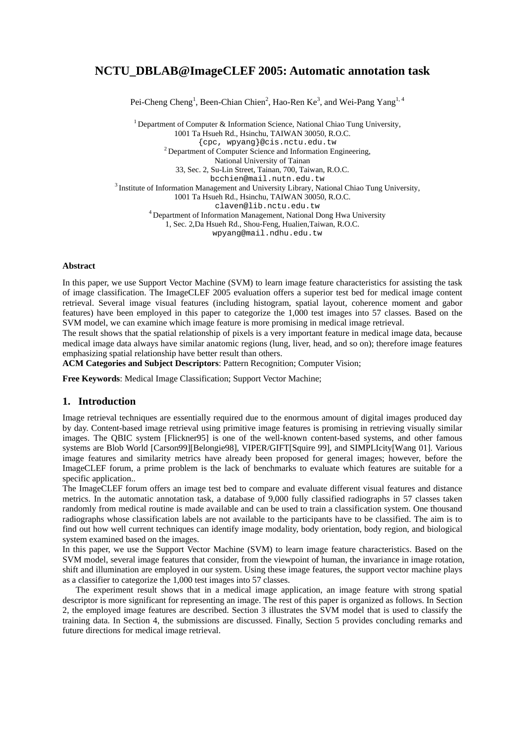# **NCTU\_DBLAB@ImageCLEF 2005: Automatic annotation task**

Pei-Cheng Cheng<sup>1</sup>, Been-Chian Chien<sup>2</sup>, Hao-Ren Ke<sup>3</sup>, and Wei-Pang Yang<sup>1, 4</sup>

<sup>1</sup> Department of Computer & Information Science, National Chiao Tung University, 1001 Ta Hsueh Rd., Hsinchu, TAIWAN 30050, R.O.C.<br>{cpc, wpyang}@cis.nctu.edu.tw  $^{2}$  Department of Computer Science and Information Engineering, National University of Tainan 33, Sec. 2, Su-Lin Street, Tainan, 700, Taiwan, R.O.C.  $3$  Institute of Information Management and University Library, National Chiao Tung University, 1001 Ta Hsueh Rd., Hsinchu, TAIWAN 30050, R.O.C. claven@lib.nctu.edu.tw 4 Department of Information Management, National Dong Hwa University 1, Sec. 2,Da Hsueh Rd., Shou-Feng, Hualien,Taiwan, R.O.C. wpyang@mail.ndhu.edu.tw

### **Abstract**

In this paper, we use Support Vector Machine (SVM) to learn image feature characteristics for assisting the task of image classification. The ImageCLEF 2005 evaluation offers a superior test bed for medical image content retrieval. Several image visual features (including histogram, spatial layout, coherence moment and gabor features) have been employed in this paper to categorize the 1,000 test images into 57 classes. Based on the SVM model, we can examine which image feature is more promising in medical image retrieval.

The result shows that the spatial relationship of pixels is a very important feature in medical image data, because medical image data always have similar anatomic regions (lung, liver, head, and so on); therefore image features emphasizing spatial relationship have better result than others.

**ACM Categories and Subject Descriptors**: Pattern Recognition; Computer Vision;

**Free Keywords**: Medical Image Classification; Support Vector Machine;

## **1. Introduction**

Image retrieval techniques are essentially required due to the enormous amount of digital images produced day by day. Content-based image retrieval using primitive image features is promising in retrieving visually similar images. The QBIC system [Flickner95] is one of the well-known content-based systems, and other famous systems are Blob World [Carson99][Belongie98], VIPER/GIFT[Squire 99], and SIMPLIcity[Wang 01]. Various image features and similarity metrics have already been proposed for general images; however, before the ImageCLEF forum, a prime problem is the lack of benchmarks to evaluate which features are suitable for a specific application..

The ImageCLEF forum offers an image test bed to compare and evaluate different visual features and distance metrics. In the automatic annotation task, a database of 9,000 fully classified radiographs in 57 classes taken randomly from medical routine is made available and can be used to train a classification system. One thousand radiographs whose classification labels are not available to the participants have to be classified. The aim is to find out how well current techniques can identify image modality, body orientation, body region, and biological system examined based on the images.

In this paper, we use the Support Vector Machine (SVM) to learn image feature characteristics. Based on the SVM model, several image features that consider, from the viewpoint of human, the invariance in image rotation, shift and illumination are employed in our system. Using these image features, the support vector machine plays as a classifier to categorize the 1,000 test images into 57 classes.

 The experiment result shows that in a medical image application, an image feature with strong spatial descriptor is more significant for representing an image. The rest of this paper is organized as follows. In Section 2, the employed image features are described. Section 3 illustrates the SVM model that is used to classify the training data. In Section 4, the submissions are discussed. Finally, Section 5 provides concluding remarks and future directions for medical image retrieval.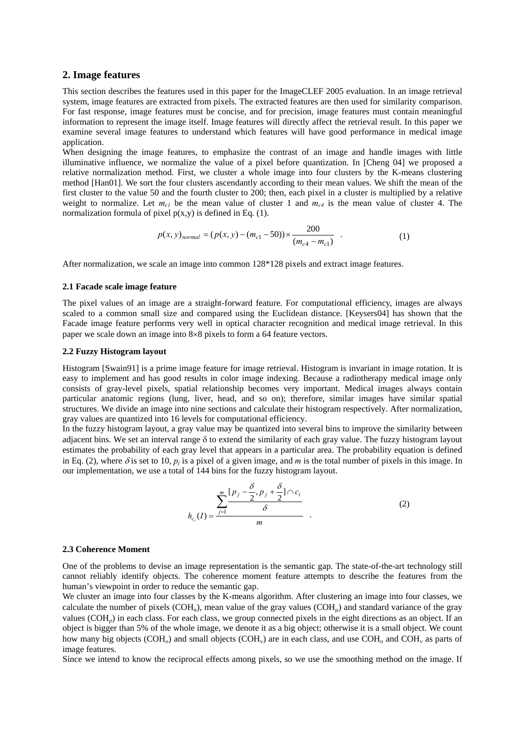## **2. Image features**

This section describes the features used in this paper for the ImageCLEF 2005 evaluation. In an image retrieval system, image features are extracted from pixels. The extracted features are then used for similarity comparison. For fast response, image features must be concise, and for precision, image features must contain meaningful information to represent the image itself. Image features will directly affect the retrieval result. In this paper we examine several image features to understand which features will have good performance in medical image application.

When designing the image features, to emphasize the contrast of an image and handle images with little illuminative influence, we normalize the value of a pixel before quantization. In [Cheng 04] we proposed a relative normalization method. First, we cluster a whole image into four clusters by the K-means clustering method [Han01]. We sort the four clusters ascendantly according to their mean values. We shift the mean of the first cluster to the value 50 and the fourth cluster to 200; then, each pixel in a cluster is multiplied by a relative weight to normalize. Let  $m_{c1}$  be the mean value of cluster 1 and  $m_{c4}$  is the mean value of cluster 4. The normalization formula of pixel  $p(x,y)$  is defined in Eq. (1).

$$
p(x, y)_{normal} = (p(x, y) - (m_{c1} - 50)) \times \frac{200}{(m_{c4} - m_{c1})}
$$
 (1)

After normalization, we scale an image into common 128\*128 pixels and extract image features.

#### **2.1 Facade scale image feature**

The pixel values of an image are a straight-forward feature. For computational efficiency, images are always scaled to a common small size and compared using the Euclidean distance. [Keysers04] has shown that the Facade image feature performs very well in optical character recognition and medical image retrieval. In this paper we scale down an image into 8×8 pixels to form a 64 feature vectors.

### **2.2 Fuzzy Histogram layout**

Histogram [Swain91] is a prime image feature for image retrieval. Histogram is invariant in image rotation. It is easy to implement and has good results in color image indexing. Because a radiotherapy medical image only consists of gray-level pixels, spatial relationship becomes very important. Medical images always contain particular anatomic regions (lung, liver, head, and so on); therefore, similar images have similar spatial structures. We divide an image into nine sections and calculate their histogram respectively. After normalization, gray values are quantized into 16 levels for computational efficiency.

In the fuzzy histogram layout, a gray value may be quantized into several bins to improve the similarity between adjacent bins. We set an interval range δ to extend the similarity of each gray value. The fuzzy histogram layout estimates the probability of each gray level that appears in a particular area. The probability equation is defined in Eq. (2), where  $\delta$  is set to 10,  $p_i$  is a pixel of a given image, and *m* is the total number of pixels in this image. In our implementation, we use a total of 144 bins for the fuzzy histogram layout.

$$
h_{c_i}(I) = \frac{\sum_{j=1}^{m} \frac{[p_j - \frac{\delta}{2}, p_j + \frac{\delta}{2}] \cap c_i}{\delta}}{m}
$$
 (2)

#### **2.3 Coherence Moment**

One of the problems to devise an image representation is the semantic gap. The state-of-the-art technology still cannot reliably identify objects. The coherence moment feature attempts to describe the features from the human's viewpoint in order to reduce the semantic gap.

We cluster an image into four classes by the K-means algorithm. After clustering an image into four classes, we calculate the number of pixels ( $COH<sub>k</sub>$ ), mean value of the gray values ( $COH<sub>u</sub>$ ) and standard variance of the gray values (COH<sub>0</sub>) in each class. For each class, we group connected pixels in the eight directions as an object. If an object is bigger than 5% of the whole image, we denote it as a big object; otherwise it is a small object. We count how many big objects (COH<sub>0</sub>) and small objects (COH<sub>v</sub>) are in each class, and use COH<sub>0</sub> and COH<sub>ν</sub> as parts of image features.

Since we intend to know the reciprocal effects among pixels, so we use the smoothing method on the image. If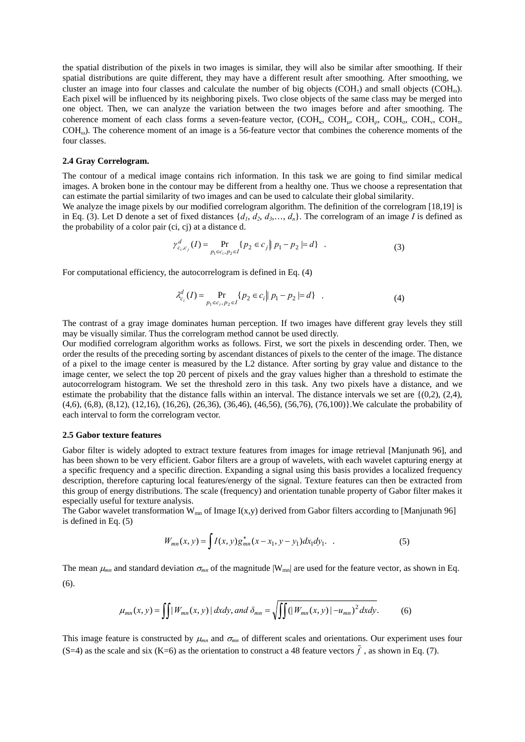the spatial distribution of the pixels in two images is similar, they will also be similar after smoothing. If their spatial distributions are quite different, they may have a different result after smoothing. After smoothing, we cluster an image into four classes and calculate the number of big objects (COH<sub>r</sub>) and small objects (COH<sub>0</sub>). Each pixel will be influenced by its neighboring pixels. Two close objects of the same class may be merged into one object. Then, we can analyze the variation between the two images before and after smoothing. The coherence moment of each class forms a seven-feature vector,  $(COH<sub>K</sub>, COH<sub>u</sub>, COH<sub>o</sub>, COH<sub>v</sub>, COH<sub>v</sub>$ COHω). The coherence moment of an image is a 56-feature vector that combines the coherence moments of the four classes.

### **2.4 Gray Correlogram.**

The contour of a medical image contains rich information. In this task we are going to find similar medical images. A broken bone in the contour may be different from a healthy one. Thus we choose a representation that can estimate the partial similarity of two images and can be used to calculate their global similarity.

We analyze the image pixels by our modified correlogram algorithm. The definition of the correlogram [18,19] is in Eq. (3). Let D denote a set of fixed distances  $\{d_1, d_2, d_3, \ldots, d_n\}$ . The correlogram of an image *I* is defined as the probability of a color pair (ci, cj) at a distance d.

$$
\gamma_{c_i,c_j}^d(I) = \Pr_{p_1 \in c_i, p_2 \in I} \{ p_2 \in c_j \mid p_1 - p_2 \mid d \} \quad . \tag{3}
$$

For computational efficiency, the autocorrelogram is defined in Eq. (4)

$$
\lambda_{c_i}^d(I) = \Pr_{p_1 \in c_i, p_2 \in I} \{ p_2 \in c_i \mid p_1 - p_2 \mid = d \} \quad . \tag{4}
$$

The contrast of a gray image dominates human perception. If two images have different gray levels they still may be visually similar. Thus the correlogram method cannot be used directly.

Our modified correlogram algorithm works as follows. First, we sort the pixels in descending order. Then, we order the results of the preceding sorting by ascendant distances of pixels to the center of the image. The distance of a pixel to the image center is measured by the L2 distance. After sorting by gray value and distance to the image center, we select the top 20 percent of pixels and the gray values higher than a threshold to estimate the autocorrelogram histogram. We set the threshold zero in this task. Any two pixels have a distance, and we estimate the probability that the distance falls within an interval. The distance intervals we set are  $\{(0,2), (2,4),\}$ (4,6), (6,8), (8,12), (12,16), (16,26), (26,36), (36,46), (46,56), (56,76), (76,100)}.We calculate the probability of each interval to form the correlogram vector.

#### **2.5 Gabor texture features**

Gabor filter is widely adopted to extract texture features from images for image retrieval [Manjunath 96], and has been shown to be very efficient. Gabor filters are a group of wavelets, with each wavelet capturing energy at a specific frequency and a specific direction. Expanding a signal using this basis provides a localized frequency description, therefore capturing local features/energy of the signal. Texture features can then be extracted from this group of energy distributions. The scale (frequency) and orientation tunable property of Gabor filter makes it especially useful for texture analysis.

The Gabor wavelet transformation  $W_{mn}$  of Image I(x,y) derived from Gabor filters according to [Manjunath 96] is defined in Eq. (5)

$$
W_{mn}(x, y) = \int I(x, y) g_{mn}^{*}(x - x_1, y - y_1) dx_1 dy_1.
$$
 (5)

The mean  $\mu_{mn}$  and standard deviation  $\sigma_{mn}$  of the magnitude  $|W_{mn}|$  are used for the feature vector, as shown in Eq. (6).

$$
\mu_{mn}(x, y) = \iint |W_{mn}(x, y)| \, dxdy, \text{ and } \delta_{mn} = \sqrt{\iint (|W_{mn}(x, y)| - u_{mn})^2 \, dxdy}.
$$
 (6)

This image feature is constructed by  $\mu_{mn}$  and  $\sigma_{mn}$  of different scales and orientations. Our experiment uses four (S=4) as the scale and six (K=6) as the orientation to construct a 48 feature vectors  $\bar{f}$ , as shown in Eq. (7).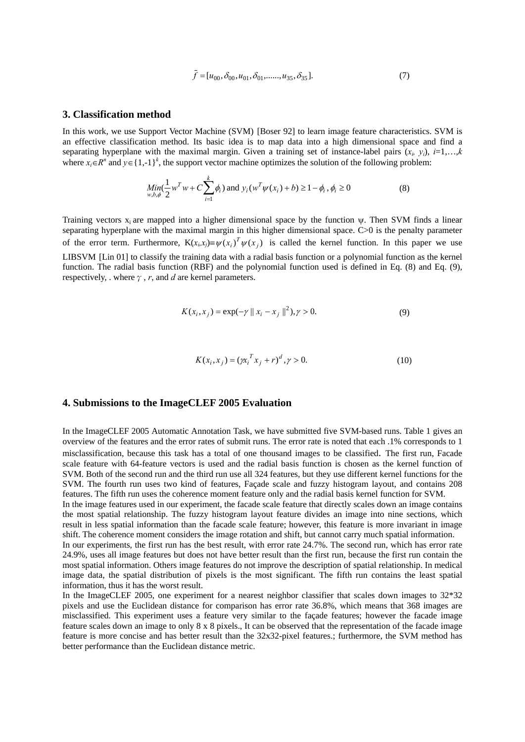$$
\bar{f} = [u_{00}, \delta_{00}, u_{01}, \delta_{01}, \dots, u_{35}, \delta_{35}].
$$
\n<sup>(7)</sup>

### **3. Classification method**

In this work, we use Support Vector Machine (SVM) [Boser 92] to learn image feature characteristics. SVM is an effective classification method. Its basic idea is to map data into a high dimensional space and find a separating hyperplane with the maximal margin. Given a training set of instance-label pairs  $(x_i, y_i)$ ,  $i=1,...,k$ where  $x_i \in R^n$  and  $y \in \{1,-1\}^k$ , the support vector machine optimizes the solution of the following problem:

$$
\underset{w,b,\phi}{Min}(\frac{1}{2}w^Tw + C\sum_{i=1}^k \phi_i) \text{ and } y_i(w^T \psi(x_i) + b) \ge 1 - \phi_i, \phi_i \ge 0
$$
\n(8)

Training vectors  $x_i$  are mapped into a higher dimensional space by the function  $\psi$ . Then SVM finds a linear separating hyperplane with the maximal margin in this higher dimensional space. C>0 is the penalty parameter of the error term. Furthermore,  $K(x_i, x_j) = \psi(x_i)^T \psi(x_j)$  is called the kernel function. In this paper we use LIBSVM [Lin 01] to classify the training data with a radial basis function or a polynomial function as the kernel function. The radial basis function (RBF) and the polynomial function used is defined in Eq. (8) and Eq. (9), respectively, . where  $\gamma$ , *r*, and *d* are kernel parameters.

$$
K(x_i, x_j) = \exp(-\gamma ||x_i - x_j||^2), \gamma > 0.
$$
 (9)

$$
K(x_i, x_j) = (\chi_i^T x_j + r)^d, \gamma > 0.
$$
 (10)

### **4. Submissions to the ImageCLEF 2005 Evaluation**

In the ImageCLEF 2005 Automatic Annotation Task, we have submitted five SVM-based runs. Table 1 gives an overview of the features and the error rates of submit runs. The error rate is noted that each .1% corresponds to 1 misclassification, because this task has a total of one thousand images to be classified. The first run, Facade scale feature with 64-feature vectors is used and the radial basis function is chosen as the kernel function of SVM. Both of the second run and the third run use all 324 features, but they use different kernel functions for the SVM. The fourth run uses two kind of features, Façade scale and fuzzy histogram layout, and contains 208 features. The fifth run uses the coherence moment feature only and the radial basis kernel function for SVM.

In the image features used in our experiment, the facade scale feature that directly scales down an image contains the most spatial relationship. The fuzzy histogram layout feature divides an image into nine sections, which result in less spatial information than the facade scale feature; however, this feature is more invariant in image shift. The coherence moment considers the image rotation and shift, but cannot carry much spatial information.

In our experiments, the first run has the best result, with error rate 24.7%. The second run, which has error rate 24.9%, uses all image features but does not have better result than the first run, because the first run contain the most spatial information. Others image features do not improve the description of spatial relationship. In medical image data, the spatial distribution of pixels is the most significant. The fifth run contains the least spatial information, thus it has the worst result.

In the ImageCLEF 2005, one experiment for a nearest neighbor classifier that scales down images to 32\*32 pixels and use the Euclidean distance for comparison has error rate 36.8%, which means that 368 images are misclassified. This experiment uses a feature very similar to the façade features; however the facade image feature scales down an image to only 8 x 8 pixels., It can be observed that the representation of the facade image feature is more concise and has better result than the 32x32-pixel features.; furthermore, the SVM method has better performance than the Euclidean distance metric.